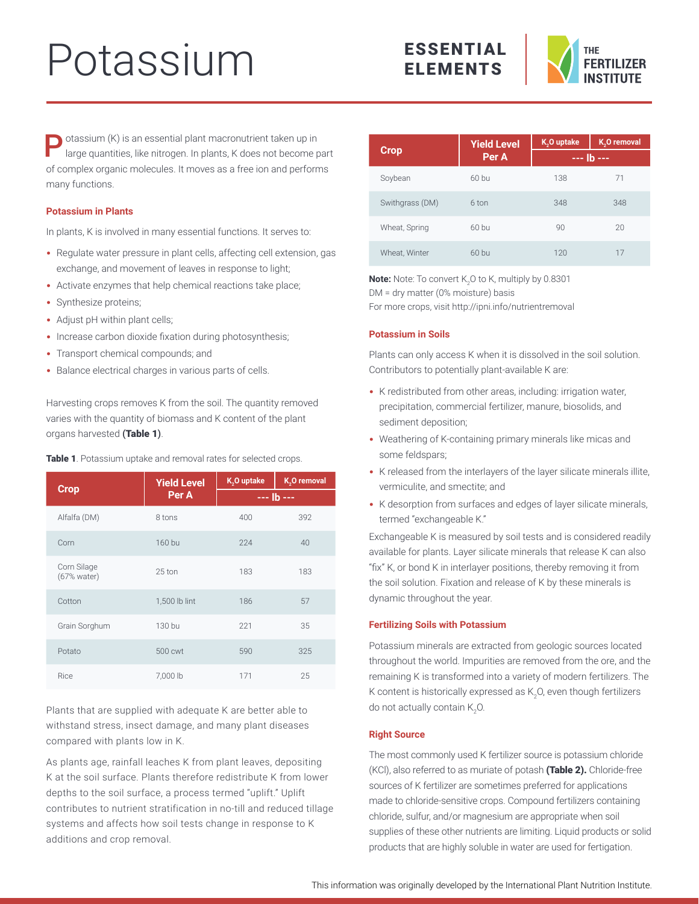# Potassium



**P** otassium (K) is an essential plant macronutrient taken up in large quantities, like nitrogen. In plants, K does not become part of complex organic molecules. It moves as a free ion and performs many functions.

## **Potassium in Plants**

In plants, K is involved in many essential functions. It serves to:

- Regulate water pressure in plant cells, affecting cell extension, gas exchange, and movement of leaves in response to light;
- Activate enzymes that help chemical reactions take place;
- Synthesize proteins;
- Adjust pH within plant cells;
- Increase carbon dioxide fixation during photosynthesis;
- Transport chemical compounds; and
- Balance electrical charges in various parts of cells.

Harvesting crops removes K from the soil. The quantity removed varies with the quantity of biomass and K content of the plant organs harvested (Table 1).

|                            | <b>Yield Level</b> | K <sub>2</sub> O uptake | K <sub>2</sub> O removal |  |
|----------------------------|--------------------|-------------------------|--------------------------|--|
| <b>Crop</b>                | Per A              | $--$ lb $--$            |                          |  |
| Alfalfa (DM)               | 8 tons             | 400                     | 392                      |  |
| Corn                       | 160 bu             | 224                     | 40                       |  |
| Corn Silage<br>(67% water) | 25 ton             | 183                     | 183                      |  |
| Cotton                     | 1,500 lb lint      | 186                     | 57                       |  |
| Grain Sorghum              | 130 bu             | 221                     | 35                       |  |
| Potato                     | 500 cwt            | 590                     | 325                      |  |
| Rice                       | 7,000 lb           | 171                     | 25                       |  |

Table 1. Potassium uptake and removal rates for selected crops.

Plants that are supplied with adequate K are better able to withstand stress, insect damage, and many plant diseases compared with plants low in K.

As plants age, rainfall leaches K from plant leaves, depositing K at the soil surface. Plants therefore redistribute K from lower depths to the soil surface, a process termed "uplift." Uplift contributes to nutrient stratification in no-till and reduced tillage systems and affects how soil tests change in response to K additions and crop removal.

|                 | <b>Yield Level</b> | K <sub>2</sub> O uptake | K <sub>2</sub> O removal |  |
|-----------------|--------------------|-------------------------|--------------------------|--|
| Crop,           | Per A              | --- lb ---              |                          |  |
| Soybean         | $60$ bu            | 138                     | 71                       |  |
| Swithgrass (DM) | 6 ton              | 348                     | 348                      |  |
| Wheat, Spring   | $60$ bu            | 90                      | 20                       |  |
| Wheat, Winter   | 60 bu              | 120                     | 17                       |  |

**Note:** Note: To convert K<sub>2</sub>O to K, multiply by 0.8301 DM = dry matter (0% moisture) basis For more crops, visit<http://ipni.info/nutrientremoval>

# **Potassium in Soils**

Plants can only access K when it is dissolved in the soil solution. Contributors to potentially plant-available K are:

- K redistributed from other areas, including: irrigation water, precipitation, commercial fertilizer, manure, biosolids, and sediment deposition;
- Weathering of K-containing primary minerals like micas and some feldspars;
- K released from the interlayers of the layer silicate minerals illite, vermiculite, and smectite; and
- K desorption from surfaces and edges of layer silicate minerals, termed "exchangeable K."

Exchangeable K is measured by soil tests and is considered readily available for plants. Layer silicate minerals that release K can also "fix" K, or bond K in interlayer positions, thereby removing it from the soil solution. Fixation and release of K by these minerals is dynamic throughout the year.

## **Fertilizing Soils with Potassium**

Potassium minerals are extracted from geologic sources located throughout the world. Impurities are removed from the ore, and the remaining K is transformed into a variety of modern fertilizers. The K content is historically expressed as K<sub>2</sub>O, even though fertilizers do not actually contain K $_{2}$ O.

## **Right Source**

The most commonly used K fertilizer source is potassium chloride (KCl), also referred to as muriate of potash (Table 2). Chloride-free sources of K fertilizer are sometimes preferred for applications made to chloride-sensitive crops. Compound fertilizers containing chloride, sulfur, and/or magnesium are appropriate when soil supplies of these other nutrients are limiting. Liquid products or solid products that are highly soluble in water are used for fertigation.